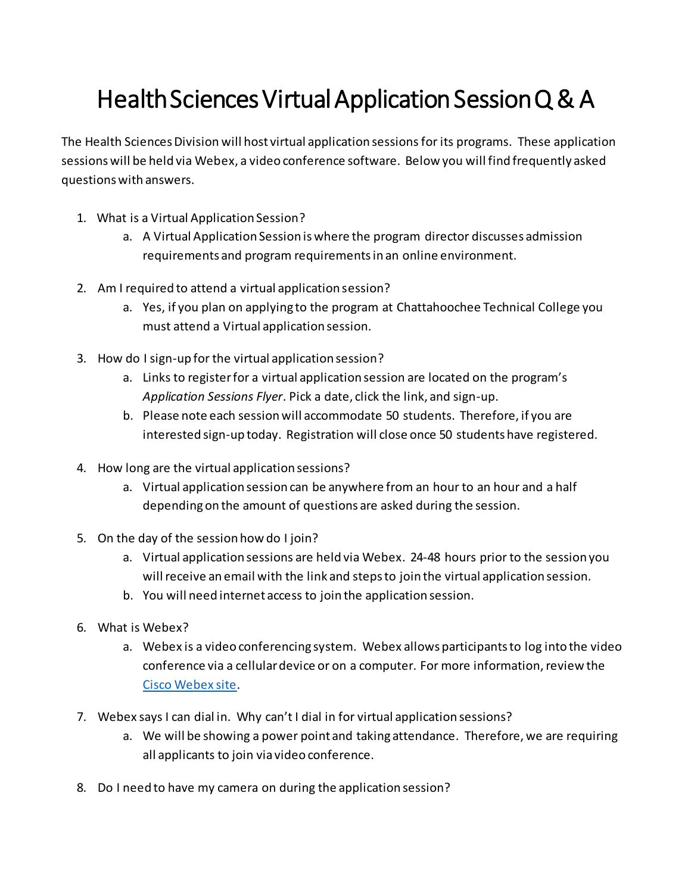## Health Sciences Virtual Application Session Q & A

The Health Sciences Division will host virtual application sessionsfor its programs. These application sessions will be held via Webex, a video conference software. Below you will find frequently asked questions with answers.

- 1. What is a Virtual Application Session?
	- a. A Virtual Application Session is where the program director discusses admission requirements and program requirements in an online environment.
- 2. Am I required to attend a virtual application session?
	- a. Yes, if you plan on applying to the program at Chattahoochee Technical College you must attend a Virtual application session.
- 3. How do I sign-up for the virtual application session?
	- a. Links to register for a virtual application session are located on the program's *Application Sessions Flyer*. Pick a date, click the link, and sign-up.
	- b. Please note each session will accommodate 50 students. Therefore, if you are interested sign-up today. Registration will close once 50 students have registered.
- 4. How long are the virtual application sessions?
	- a. Virtual application session can be anywhere from an hour to an hour and a half depending on the amount of questions are asked during the session.
- 5. On the day of the session how do I join?
	- a. Virtual application sessions are held via Webex. 24-48 hours prior to the session you will receive an email with the link and steps to join the virtual application session.
	- b. You will need internet access to join the application session.
- 6. What is Webex?
	- a. Webex is a video conferencing system. Webex allows participants to log into the video conference via a cellular device or on a computer. For more information,review the [Cisco Webex site.](https://www.webex.com/video-conferencing)
- 7. Webex says I can dial in. Why can't I dial in for virtual application sessions?
	- a. We will be showing a power point and taking attendance. Therefore, we are requiring all applicants to join via video conference.
- 8. Do I need to have my camera on during the application session?